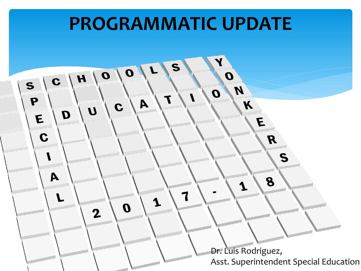#### **PROGRAMMATIC UPDATE**  $\mathbf{Y}$ S  $\boldsymbol{O}$  $\boldsymbol{o}$  $\boldsymbol{o}$  $\mathbf{H}$  $\mathbf{c}$  $\mathbf S$  $\boldsymbol{M}$  $\boldsymbol{o}$ T P  $\mathbf{A}$  $\boldsymbol{X}$ C  $\boldsymbol{U}$ D E E  $\mathbf C$  $\boldsymbol{R}$  $S$  $\mathsf{A}$ 8 1  $\overline{\mathbf{1}}$  $\mathbf 1$  $\boldsymbol{0}$  $\mathbf 2$ Dr. Luis Rodriguez, Asst. Superintendent Special Education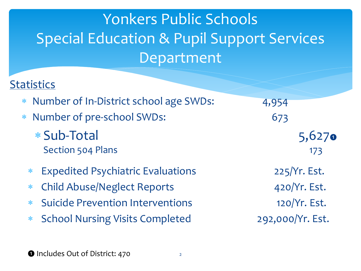# Yonkers Public Schools Special Education & Pupil Support Services Department

### **Statistics**

- Number of In-District school age SWDs: 4,954
- Number of pre-school SWDs: 673
	- \* Sub-Total 5,627 Section 504 Plans 173
	- Expedited Psychiatric Evaluations 225/Yr. Est.
	- Child Abuse/Neglect Reports 420/Yr. Est.
	- Suicide Prevention Interventions 120/Yr. Est.
	- School Nursing Visits Completed 292,000/Yr. Est.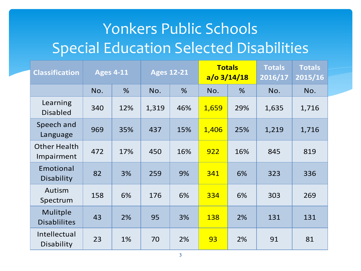### Yonkers Public Schools Special Education Selected Disabilities

| <b>Classification</b>                  |     | <b>Ages 4-11</b> | <b>Ages 12-21</b> |     | <b>Totals</b><br>$a$ /o 3/14/18 |     | <b>Totals</b><br>2016/17 | <b>Totals</b><br>2015/16 |
|----------------------------------------|-----|------------------|-------------------|-----|---------------------------------|-----|--------------------------|--------------------------|
|                                        | No. | %                | No.               | %   | No.                             | %   | No.                      | No.                      |
| Learning<br><b>Disabled</b>            | 340 | 12%              | 1,319             | 46% | 1,659                           | 29% | 1,635                    | 1,716                    |
| Speech and<br>Language                 | 969 | 35%              | 437               | 15% | 1,406                           | 25% | 1,219                    | 1,716                    |
| <b>Other Health</b><br>Impairment      | 472 | 17%              | 450               | 16% | 922                             | 16% | 845                      | 819                      |
| Emotional<br><b>Disability</b>         | 82  | 3%               | 259               | 9%  | 341                             | 6%  | 323                      | 336                      |
| Autism<br>Spectrum                     | 158 | 6%               | 176               | 6%  | 334                             | 6%  | 303                      | 269                      |
| <b>Mulitple</b><br><b>Disablilites</b> | 43  | 2%               | 95                | 3%  | 138                             | 2%  | 131                      | 131                      |
| Intellectual<br>Disability             | 23  | 1%               | 70                | 2%  | 93                              | 2%  | 91                       | 81                       |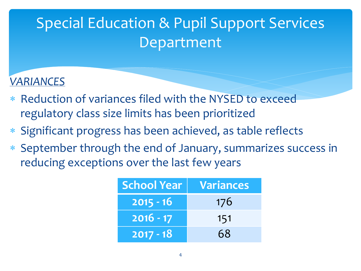### *VARIANCES*

- \* Reduction of variances filed with the NYSED to exceed regulatory class size limits has been prioritized
- Significant progress has been achieved, as table reflects
- September through the end of January, summarizes success in reducing exceptions over the last few years

| <b>School Year</b> | <b>Variances</b> |
|--------------------|------------------|
| $2015 - 16$        | 176              |
| $2016 - 17$        | 151              |
| $2017 - 18$        | 68               |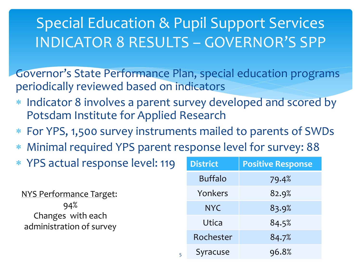### Special Education & Pupil Support Services INDICATOR 8 RESULTS – GOVERNOR'S SPP

Governor's State Performance Plan, special education programs periodically reviewed based on indicators

- Indicator 8 involves a parent survey developed and scored by Potsdam Institute for Applied Research
- For YPS, 1,500 survey instruments mailed to parents of SWDs

5

- Minimal required YPS parent response level for survey: 88
- \* YPS actual response level: 119 NYS Performance Target: 94%

Changes with each administration of survey

| <b>District</b> | <b>Positive Response</b> |  |  |
|-----------------|--------------------------|--|--|
| <b>Buffalo</b>  | 79.4%                    |  |  |
| Yonkers         | 82.9%                    |  |  |
| <b>NYC</b>      | 83.9%                    |  |  |
| Utica           | 84.5%                    |  |  |
| Rochester       | 84.7%                    |  |  |
| Syracuse        | 96.8%                    |  |  |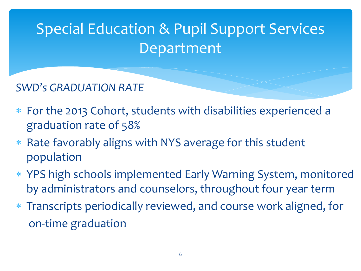### *SWD's GRADUATION RATE*

- For the 2013 Cohort, students with disabilities experienced a graduation rate of 58%
- \* Rate favorably aligns with NYS average for this student population
- YPS high schools implemented Early Warning System, monitored by administrators and counselors, throughout four year term
- Transcripts periodically reviewed, and course work aligned, for on-time graduation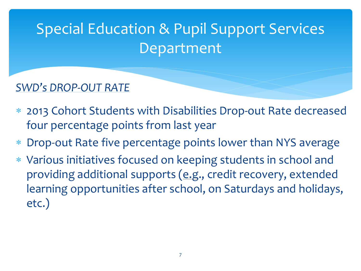### *SWD's DROP-OUT RATE*

- 2013 Cohort Students with Disabilities Drop-out Rate decreased four percentage points from last year
- Drop-out Rate five percentage points lower than NYS average
- Various initiatives focused on keeping students in school and providing additional supports (e.g., credit recovery, extended learning opportunities after school, on Saturdays and holidays, etc.)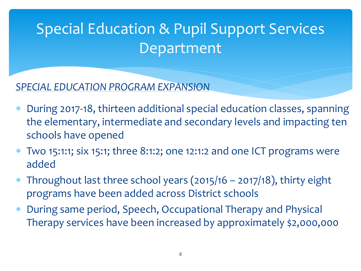*SPECIAL EDUCATION PROGRAM EXPANSION*

- During 2017-18, thirteen additional special education classes, spanning the elementary, intermediate and secondary levels and impacting ten schools have opened
- Two 15:1:1; six 15:1; three 8:1:2; one 12:1:2 and one ICT programs were added
- Throughout last three school years (2015/16 2017/18), thirty eight programs have been added across District schools
- During same period, Speech, Occupational Therapy and Physical Therapy services have been increased by approximately \$2,000,000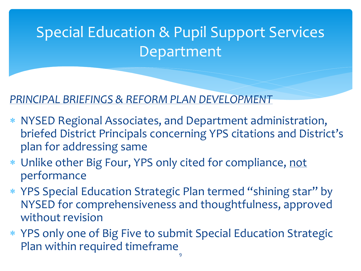### *PRINCIPAL BRIEFINGS & REFORM PLAN DEVELOPMENT*

- NYSED Regional Associates, and Department administration, briefed District Principals concerning YPS citations and District's plan for addressing same
- Unlike other Big Four, YPS only cited for compliance, not performance
- YPS Special Education Strategic Plan termed "shining star" by NYSED for comprehensiveness and thoughtfulness, approved without revision
- YPS only one of Big Five to submit Special Education Strategic Plan within required timeframe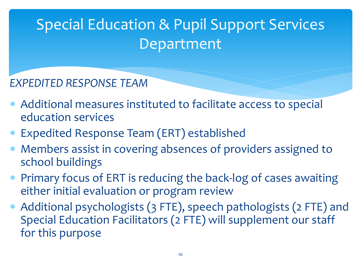### *EXPEDITED RESPONSE TEAM*

- Additional measures instituted to facilitate access to special education services
- Expedited Response Team (ERT) established
- Members assist in covering absences of providers assigned to school buildings
- Primary focus of ERT is reducing the back-log of cases awaiting either initial evaluation or program review
- Additional psychologists (3 FTE), speech pathologists (2 FTE) and Special Education Facilitators (2 FTE) will supplement our staff for this purpose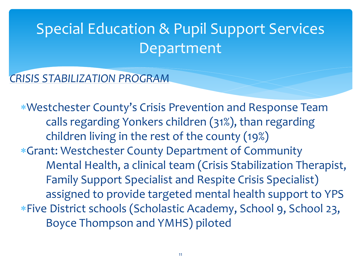### *CRISIS STABILIZATION PROGRAM*

Westchester County's Crisis Prevention and Response Team calls regarding Yonkers children (31%), than regarding children living in the rest of the county (19%) Grant: Westchester County Department of Community Mental Health, a clinical team (Crisis Stabilization Therapist, Family Support Specialist and Respite Crisis Specialist) assigned to provide targeted mental health support to YPS Five District schools (Scholastic Academy, School 9, School 23, Boyce Thompson and YMHS) piloted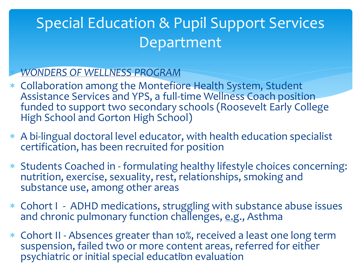#### *WONDERS OF WELLNESS PROGRAM*

- Collaboration among the Montefiore Health System, Student Assistance Services and YPS, a full-time Wellness Coach position funded to support two secondary schools (Roosevelt Early College High School and Gorton High School)
- A bi-lingual doctoral level educator, with health education specialist certification, has been recruited for position
- Students Coached in formulating healthy lifestyle choices concerning: nutrition, exercise, sexuality, rest, relationships, smoking and substance use, among other areas
- Cohort I ADHD medications, struggling with substance abuse issues and chronic pulmonary function challenges, e.g., Asthma
- Cohort II Absences greater than 10%, received a least one long term suspension, failed two or more content areas, referred for either psychiatric or initial special education evaluation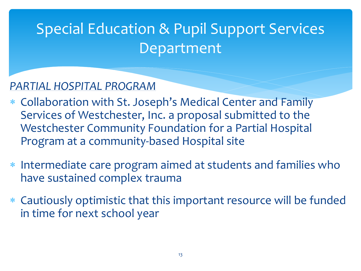### *PARTIAL HOSPITAL PROGRAM*

- Collaboration with St. Joseph's Medical Center and Family Services of Westchester, Inc. a proposal submitted to the Westchester Community Foundation for a Partial Hospital Program at a community-based Hospital site
- Intermediate care program aimed at students and families who have sustained complex trauma
- Cautiously optimistic that this important resource will be funded in time for next school year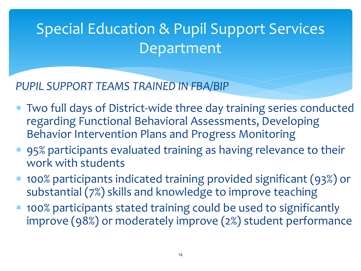*PUPIL SUPPORT TEAMS TRAINED IN FBA/BIP*

- Two full days of District-wide three day training series conducted regarding Functional Behavioral Assessments, Developing Behavior Intervention Plans and Progress Monitoring
- 95% participants evaluated training as having relevance to their work with students
- 100% participants indicated training provided significant (93%) or substantial (7%) skills and knowledge to improve teaching
- 100% participants stated training could be used to significantly improve (98%) or moderately improve (2%) student performance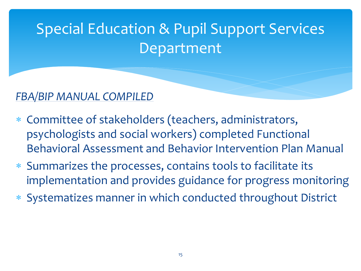### *FBA/BIP MANUAL COMPILED*

- Committee of stakeholders (teachers, administrators, psychologists and social workers) completed Functional Behavioral Assessment and Behavior Intervention Plan Manual
- Summarizes the processes, contains tools to facilitate its implementation and provides guidance for progress monitoring
- Systematizes manner in which conducted throughout District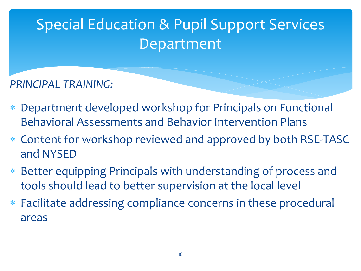*PRINCIPAL TRAINING:*

- Department developed workshop for Principals on Functional Behavioral Assessments and Behavior Intervention Plans
- Content for workshop reviewed and approved by both RSE-TASC and NYSED
- Better equipping Principals with understanding of process and tools should lead to better supervision at the local level
- Facilitate addressing compliance concerns in these procedural areas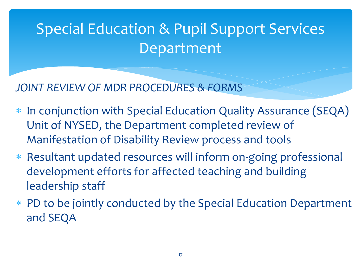*JOINT REVIEW OF MDR PROCEDURES & FORMS*

- \* In conjunction with Special Education Quality Assurance (SEQA) Unit of NYSED, the Department completed review of Manifestation of Disability Review process and tools
- Resultant updated resources will inform on-going professional development efforts for affected teaching and building leadership staff
- PD to be jointly conducted by the Special Education Department and SEQA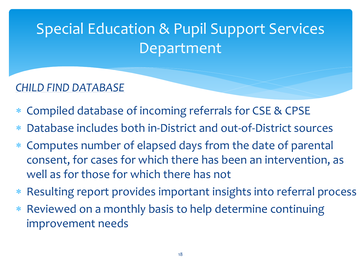### *CHILD FIND DATABASE*

- Compiled database of incoming referrals for CSE & CPSE
- Database includes both in-District and out-of-District sources
- Computes number of elapsed days from the date of parental consent, for cases for which there has been an intervention, as well as for those for which there has not
- Resulting report provides important insights into referral process
- Reviewed on a monthly basis to help determine continuing improvement needs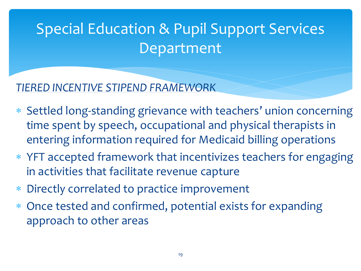*TIERED INCENTIVE STIPEND FRAMEWORK*

- Settled long-standing grievance with teachers' union concerning time spent by speech, occupational and physical therapists in entering information required for Medicaid billing operations
- YFT accepted framework that incentivizes teachers for engaging in activities that facilitate revenue capture
- Directly correlated to practice improvement
- Once tested and confirmed, potential exists for expanding approach to other areas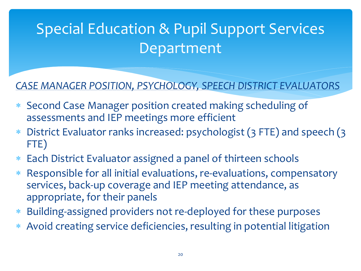### *CASE MANAGER POSITION, PSYCHOLOGY, SPEECH DISTRICT EVALUATORS*

- Second Case Manager position created making scheduling of assessments and IEP meetings more efficient
- District Evaluator ranks increased: psychologist (3 FTE) and speech (3 FTE)
- Each District Evaluator assigned a panel of thirteen schools
- Responsible for all initial evaluations, re-evaluations, compensatory services, back-up coverage and IEP meeting attendance, as appropriate, for their panels
- Building-assigned providers not re-deployed for these purposes
- Avoid creating service deficiencies, resulting in potential litigation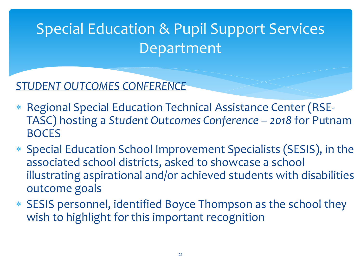*STUDENT OUTCOMES CONFERENCE*

- Regional Special Education Technical Assistance Center (RSE-TASC) hosting a *Student Outcomes Conference* – *2018* for Putnam BOCES
- Special Education School Improvement Specialists (SESIS), in the associated school districts, asked to showcase a school illustrating aspirational and/or achieved students with disabilities outcome goals
- SESIS personnel, identified Boyce Thompson as the school they wish to highlight for this important recognition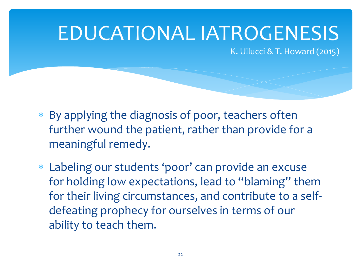# EDUCATIONAL IATROGENESIS

K. Ullucci & T. Howard (2015)

- By applying the diagnosis of poor, teachers often further wound the patient, rather than provide for a meaningful remedy.
- Labeling our students 'poor' can provide an excuse for holding low expectations, lead to "blaming" them for their living circumstances, and contribute to a selfdefeating prophecy for ourselves in terms of our ability to teach them.